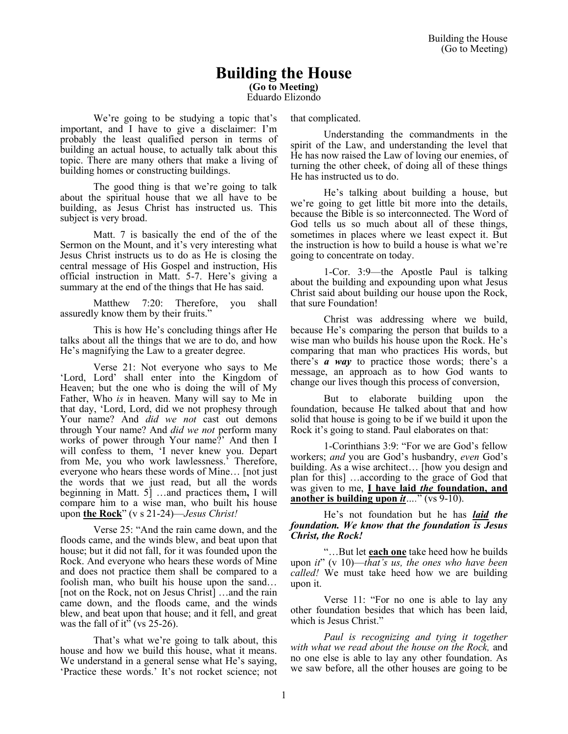# **Building the House**

**(Go to Meeting)**

Eduardo Elizondo

We're going to be studying a topic that's important, and I have to give a disclaimer: I'm probably the least qualified person in terms of building an actual house, to actually talk about this topic. There are many others that make a living of building homes or constructing buildings.

The good thing is that we're going to talk about the spiritual house that we all have to be building, as Jesus Christ has instructed us. This subject is very broad.

Matt. 7 is basically the end of the of the Sermon on the Mount, and it's very interesting what Jesus Christ instructs us to do as He is closing the central message of His Gospel and instruction, His official instruction in Matt. 5-7. Here's giving a summary at the end of the things that He has said.

Matthew 7:20: Therefore, you shall assuredly know them by their fruits."

This is how He's concluding things after He talks about all the things that we are to do, and how He's magnifying the Law to a greater degree.

Verse 21: Not everyone who says to Me 'Lord, Lord' shall enter into the Kingdom of Heaven; but the one who is doing the will of My Father, Who *is* in heaven. Many will say to Me in that day, 'Lord, Lord, did we not prophesy through Your name? And *did we not* cast out demons through Your name? And *did we not* perform many works of power through Your name?' And then I will confess to them, 'I never knew you. Depart from Me, you who work lawlessness.' Therefore, everyone who hears these words of Mine… [not just the words that we just read, but all the words beginning in Matt. 5] …and practices them**,** I will compare him to a wise man, who built his house upon **the Rock**" (v s 21-24)—*Jesus Christ!*

Verse 25: "And the rain came down, and the floods came, and the winds blew, and beat upon that house; but it did not fall, for it was founded upon the Rock. And everyone who hears these words of Mine and does not practice them shall be compared to a foolish man, who built his house upon the sand… [not on the Rock, not on Jesus Christ] …and the rain came down, and the floods came, and the winds blew, and beat upon that house; and it fell, and great was the fall of it" (vs 25-26).

That's what we're going to talk about, this house and how we build this house, what it means. We understand in a general sense what He's saying, 'Practice these words.' It's not rocket science; not that complicated.

Understanding the commandments in the spirit of the Law, and understanding the level that He has now raised the Law of loving our enemies, of turning the other cheek, of doing all of these things He has instructed us to do.

He's talking about building a house, but we're going to get little bit more into the details, because the Bible is so interconnected. The Word of God tells us so much about all of these things, sometimes in places where we least expect it. But the instruction is how to build a house is what we're going to concentrate on today.

1-Cor. 3:9—the Apostle Paul is talking about the building and expounding upon what Jesus Christ said about building our house upon the Rock, that sure Foundation!

Christ was addressing where we build, because He's comparing the person that builds to a wise man who builds his house upon the Rock. He's comparing that man who practices His words, but there's *a way* to practice those words; there's a message, an approach as to how God wants to change our lives though this process of conversion,

But to elaborate building upon the foundation, because He talked about that and how solid that house is going to be if we build it upon the Rock it's going to stand. Paul elaborates on that:

1-Corinthians 3:9: "For we are God's fellow workers; *and* you are God's husbandry, *even* God's building. As a wise architect… [how you design and plan for this] …according to the grace of God that was given to me, **I have laid** *the* **foundation, and another is building upon** *it….*" (vs 9-10).

He's not foundation but he has *laid the foundation. We know that the foundation is Jesus Christ, the Rock!*

"…But let **each one** take heed how he builds upon *it*" (v 10)—*that's us, the ones who have been called!* We must take heed how we are building upon it.

Verse 11: "For no one is able to lay any other foundation besides that which has been laid, which is Jesus Christ."

*Paul is recognizing and tying it together with what we read about the house on the Rock,* and no one else is able to lay any other foundation. As we saw before, all the other houses are going to be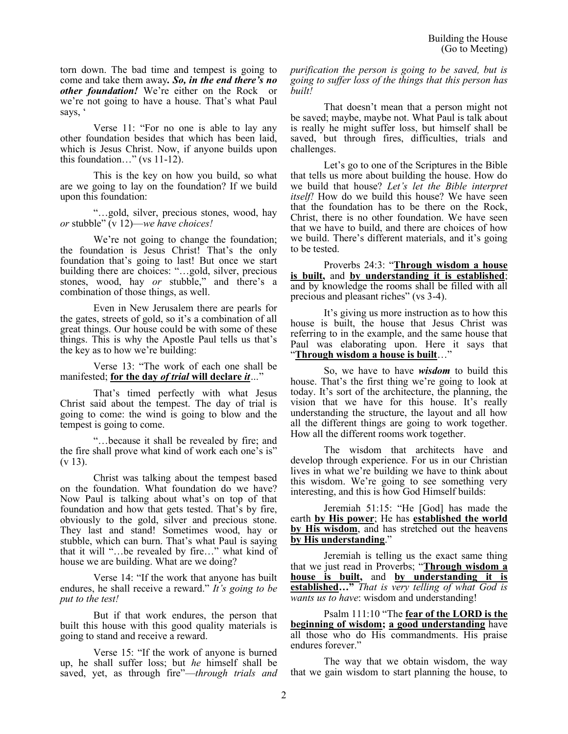torn down. The bad time and tempest is going to come and take them away*. So, in the end there's no other foundation!* We're either on the Rock or we're not going to have a house. That's what Paul says, '

Verse 11: "For no one is able to lay any other foundation besides that which has been laid, which is Jesus Christ. Now, if anyone builds upon this foundation…" (vs 11-12).

This is the key on how you build, so what are we going to lay on the foundation? If we build upon this foundation:

"…gold, silver, precious stones, wood, hay *or* stubble" (v 12)—*we have choices!*

We're not going to change the foundation; the foundation is Jesus Christ! That's the only foundation that's going to last! But once we start building there are choices: "…gold, silver, precious stones, wood, hay *or* stubble," and there's a combination of those things, as well.

Even in New Jerusalem there are pearls for the gates, streets of gold, so it's a combination of all great things. Our house could be with some of these things. This is why the Apostle Paul tells us that's the key as to how we're building:

Verse 13: "The work of each one shall be manifested; **for the day** *of trial* **will declare** *it…*"

That's timed perfectly with what Jesus Christ said about the tempest. The day of trial is going to come: the wind is going to blow and the tempest is going to come.

"…because it shall be revealed by fire; and the fire shall prove what kind of work each one's is" (v 13).

Christ was talking about the tempest based on the foundation. What foundation do we have? Now Paul is talking about what's on top of that foundation and how that gets tested. That's by fire, obviously to the gold, silver and precious stone. They last and stand! Sometimes wood, hay or stubble, which can burn. That's what Paul is saying that it will "…be revealed by fire…" what kind of house we are building. What are we doing?

Verse 14: "If the work that anyone has built endures, he shall receive a reward." *It's going to be put to the test!* 

But if that work endures, the person that built this house with this good quality materials is going to stand and receive a reward.

Verse 15: "If the work of anyone is burned up, he shall suffer loss; but *he* himself shall be saved, yet, as through fire"—*through trials and*  *purification the person is going to be saved, but is going to suffer loss of the things that this person has built!*

That doesn't mean that a person might not be saved; maybe, maybe not. What Paul is talk about is really he might suffer loss, but himself shall be saved, but through fires, difficulties, trials and challenges.

Let's go to one of the Scriptures in the Bible that tells us more about building the house. How do we build that house? *Let's let the Bible interpret itself!* How do we build this house? We have seen that the foundation has to be there on the Rock, Christ, there is no other foundation. We have seen that we have to build, and there are choices of how we build. There's different materials, and it's going to be tested.

Proverbs 24:3: "**Through wisdom a house is built,** and **by understanding it is established**; and by knowledge the rooms shall be filled with all precious and pleasant riches" (vs 3-4).

It's giving us more instruction as to how this house is built, the house that Jesus Christ was referring to in the example, and the same house that Paul was elaborating upon. Here it says that "**Through wisdom a house is built**…"

So, we have to have *wisdom* to build this house. That's the first thing we're going to look at today. It's sort of the architecture, the planning, the vision that we have for this house. It's really understanding the structure, the layout and all how all the different things are going to work together. How all the different rooms work together.

The wisdom that architects have and develop through experience. For us in our Christian lives in what we're building we have to think about this wisdom. We're going to see something very interesting, and this is how God Himself builds:

Jeremiah 51:15: "He [God] has made the earth **by His power**; He has **established the world by His wisdom**, and has stretched out the heavens **by His understanding**."

Jeremiah is telling us the exact same thing that we just read in Proverbs; "**Through wisdom a house is built,** and **by understanding it is established…"** *That is very telling of what God is wants us to have*: wisdom and understanding!

Psalm 111:10 "The **fear of the LORD is the beginning of wisdom; a good understanding** have all those who do His commandments. His praise endures forever."

The way that we obtain wisdom, the way that we gain wisdom to start planning the house, to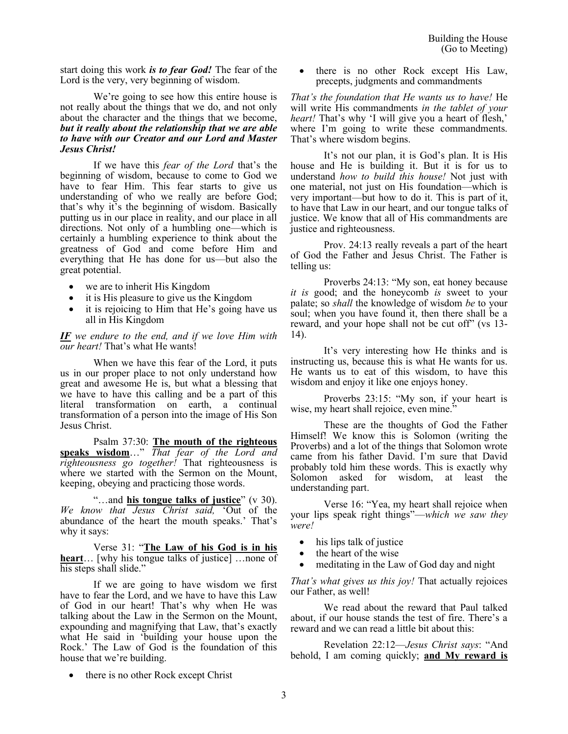start doing this work *is to fear God!* The fear of the Lord is the very, very beginning of wisdom.

We're going to see how this entire house is not really about the things that we do, and not only about the character and the things that we become, *but it really about the relationship that we are able to have with our Creator and our Lord and Master Jesus Christ!*

If we have this *fear of the Lord* that's the beginning of wisdom, because to come to God we have to fear Him. This fear starts to give us understanding of who we really are before God; that's why it's the beginning of wisdom. Basically putting us in our place in reality, and our place in all directions. Not only of a humbling one—which is certainly a humbling experience to think about the greatness of God and come before Him and everything that He has done for us—but also the great potential.

- we are to inherit His Kingdom
- it is His pleasure to give us the Kingdom
- it is rejoicing to Him that He's going have us all in His Kingdom

*IF we endure to the end, and if we love Him with our heart!* That's what He wants!

When we have this fear of the Lord, it puts us in our proper place to not only understand how great and awesome He is, but what a blessing that we have to have this calling and be a part of this literal transformation on earth, a continual transformation of a person into the image of His Son Jesus Christ.

Psalm 37:30: **The mouth of the righteous speaks wisdom**…" *That fear of the Lord and righteousness go together!* That righteousness is where we started with the Sermon on the Mount, keeping, obeying and practicing those words.

"…and **his tongue talks of justice**" (v 30). *We know that Jesus Christ said,* 'Out of the abundance of the heart the mouth speaks.' That's why it says:

Verse 31: "**The Law of his God is in his heart**… [why his tongue talks of justice] …none of his steps shall slide."

If we are going to have wisdom we first have to fear the Lord, and we have to have this Law of God in our heart! That's why when He was talking about the Law in the Sermon on the Mount, expounding and magnifying that Law, that's exactly what He said in 'building your house upon the Rock.' The Law of God is the foundation of this house that we're building.

there is no other Rock except His Law, precepts, judgments and commandments

*That's the foundation that He wants us to have!* He will write His commandments *in the tablet of your heart!* That's why 'I will give you a heart of flesh,' where I'm going to write these commandments. That's where wisdom begins.

It's not our plan, it is God's plan. It is His house and He is building it. But it is for us to understand *how to build this house!* Not just with one material, not just on His foundation—which is very important—but how to do it. This is part of it, to have that Law in our heart, and our tongue talks of justice. We know that all of His commandments are justice and righteousness.

Prov. 24:13 really reveals a part of the heart of God the Father and Jesus Christ. The Father is telling us:

Proverbs 24:13: "My son, eat honey because *it is* good; and the honeycomb *is* sweet to your palate; so *shall* the knowledge of wisdom *be* to your soul; when you have found it, then there shall be a reward, and your hope shall not be cut off" (vs 13- 14).

It's very interesting how He thinks and is instructing us, because this is what He wants for us. He wants us to eat of this wisdom, to have this wisdom and enjoy it like one enjoys honey.

Proverbs 23:15: "My son, if your heart is wise, my heart shall rejoice, even mine."

These are the thoughts of God the Father Himself! We know this is Solomon (writing the Proverbs) and a lot of the things that Solomon wrote came from his father David. I'm sure that David probably told him these words. This is exactly why Solomon asked for wisdom, at least the understanding part.

Verse 16: "Yea, my heart shall rejoice when your lips speak right things"—*which we saw they were!*

- his lips talk of justice
- the heart of the wise
- meditating in the Law of God day and night

*That's what gives us this joy!* That actually rejoices our Father, as well!

We read about the reward that Paul talked about, if our house stands the test of fire. There's a reward and we can read a little bit about this:

Revelation 22:12—*Jesus Christ says*: "And behold, I am coming quickly; **and My reward is** 

• there is no other Rock except Christ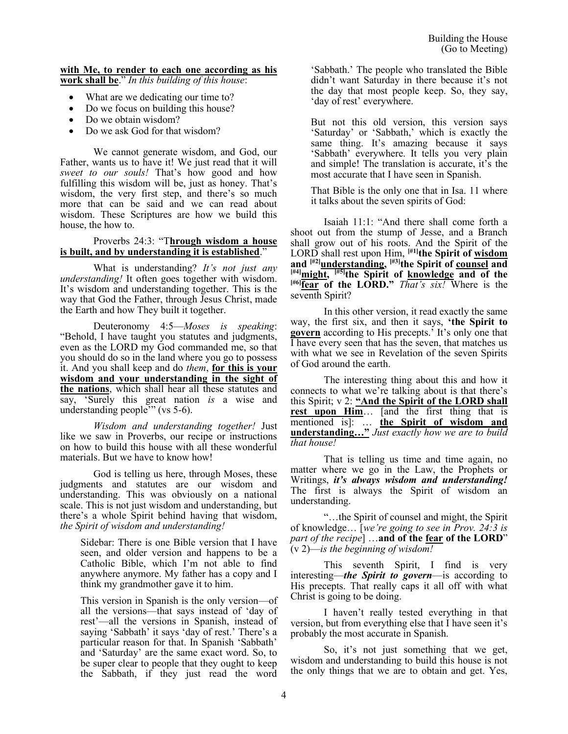#### **with Me, to render to each one according as his work shall be**." *In this building of this house*:

- What are we dedicating our time to?
- Do we focus on building this house?
- Do we obtain wisdom?
- Do we ask God for that wisdom?

We cannot generate wisdom, and God, our Father, wants us to have it! We just read that it will *sweet to our souls!* That's how good and how fulfilling this wisdom will be, just as honey. That's wisdom, the very first step, and there's so much more that can be said and we can read about wisdom. These Scriptures are how we build this house, the how to.

## Proverbs 24:3: "T**hrough wisdom a house is built, and by understanding it is established**."

What is understanding? *It's not just any understanding!* It often goes together with wisdom. It's wisdom and understanding together. This is the way that God the Father, through Jesus Christ, made the Earth and how They built it together.

Deuteronomy 4:5—*Moses is speaking*: "Behold, I have taught you statutes and judgments, even as the LORD my God commanded me, so that you should do so in the land where you go to possess it. And you shall keep and do *them*, **for this is your wisdom and your understanding in the sight of the nations**, which shall hear all these statutes and say, 'Surely this great nation *is* a wise and understanding people'" (vs 5-6).

*Wisdom and understanding together!* Just like we saw in Proverbs, our recipe or instructions on how to build this house with all these wonderful materials. But we have to know how!

God is telling us here, through Moses, these judgments and statutes are our wisdom and understanding. This was obviously on a national scale. This is not just wisdom and understanding, but there's a whole Spirit behind having that wisdom, *the Spirit of wisdom and understanding!*

Sidebar: There is one Bible version that I have seen, and older version and happens to be a Catholic Bible, which I'm not able to find anywhere anymore. My father has a copy and I think my grandmother gave it to him.

This version in Spanish is the only version—of all the versions—that says instead of 'day of rest'—all the versions in Spanish, instead of saying 'Sabbath' it says 'day of rest.' There's a particular reason for that. In Spanish 'Sabbath' and 'Saturday' are the same exact word. So, to be super clear to people that they ought to keep the Sabbath, if they just read the word 'Sabbath.' The people who translated the Bible didn't want Saturday in there because it's not the day that most people keep. So, they say, 'day of rest' everywhere.

But not this old version, this version says 'Saturday' or 'Sabbath,' which is exactly the same thing. It's amazing because it says 'Sabbath' everywhere. It tells you very plain and simple! The translation is accurate, it's the most accurate that I have seen in Spanish.

That Bible is the only one that in Isa. 11 where it talks about the seven spirits of God:

Isaiah 11:1: "And there shall come forth a shoot out from the stump of Jesse, and a Branch shall grow out of his roots. And the Spirit of the LORD shall rest upon Him, **[#1]the Spirit of wisdom and [#2]understanding, [#3]the Spirit of counsel and [#4]might, [#5]the Spirit of knowledge and of the [#6]fear of the LORD."** *That's six!* Where is the seventh Spirit?

In this other version, it read exactly the same way, the first six, and then it says, **'the Spirit to govern** according to His precepts.' It's only one that I have every seen that has the seven, that matches us with what we see in Revelation of the seven Spirits of God around the earth.

The interesting thing about this and how it connects to what we're talking about is that there's this Spirit; v 2: **"And the Spirit of the LORD shall rest upon Him**… [and the first thing that is mentioned is]: … **the Spirit of wisdom and understanding…"** *Just exactly how we are to build that house!*

That is telling us time and time again, no matter where we go in the Law, the Prophets or Writings, *it's always wisdom and understanding!*  The first is always the Spirit of wisdom an understanding.

"…the Spirit of counsel and might, the Spirit of knowledge… [*we're going to see in Prov. 24:3 is part of the recipe*] …**and of the fear of the LORD**" (v 2)—*is the beginning of wisdom!*

This seventh Spirit, I find is very interesting—*the Spirit to govern*—is according to His precepts. That really caps it all off with what Christ is going to be doing.

I haven't really tested everything in that version, but from everything else that I have seen it's probably the most accurate in Spanish.

So, it's not just something that we get, wisdom and understanding to build this house is not the only things that we are to obtain and get. Yes,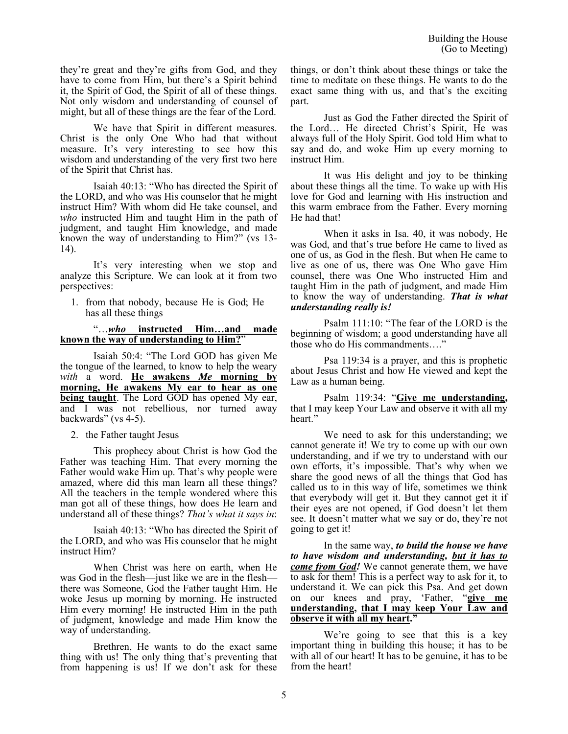they're great and they're gifts from God, and they have to come from Him, but there's a Spirit behind it, the Spirit of God, the Spirit of all of these things. Not only wisdom and understanding of counsel of might, but all of these things are the fear of the Lord.

We have that Spirit in different measures. Christ is the only One Who had that without measure. It's very interesting to see how this wisdom and understanding of the very first two here of the Spirit that Christ has.

Isaiah 40:13: "Who has directed the Spirit of the LORD, and who was His counselor that he might instruct Him? With whom did He take counsel, and *who* instructed Him and taught Him in the path of judgment, and taught Him knowledge, and made known the way of understanding to Him?" (vs 13- 14).

It's very interesting when we stop and analyze this Scripture. We can look at it from two perspectives:

1. from that nobody, because He is God; He has all these things

# "…*who* **instructed Him…and made known the way of understanding to Him?**"

Isaiah 50:4: "The Lord GOD has given Me the tongue of the learned, to know to help the weary *with* a word. **He awakens** *Me* **morning by morning, He awakens My ear to hear as one being taught**. The Lord GOD has opened My ear, and I was not rebellious, nor turned away backwards" (vs 4-5).

## 2. the Father taught Jesus

This prophecy about Christ is how God the Father was teaching Him. That every morning the Father would wake Him up. That's why people were amazed, where did this man learn all these things? All the teachers in the temple wondered where this man got all of these things, how does He learn and understand all of these things? *That's what it says in*:

Isaiah 40:13: "Who has directed the Spirit of the LORD, and who was His counselor that he might instruct Him?

When Christ was here on earth, when He was God in the flesh—just like we are in the flesh there was Someone, God the Father taught Him. He woke Jesus up morning by morning. He instructed Him every morning! He instructed Him in the path of judgment, knowledge and made Him know the way of understanding.

Brethren, He wants to do the exact same thing with us! The only thing that's preventing that from happening is us! If we don't ask for these things, or don't think about these things or take the time to meditate on these things. He wants to do the exact same thing with us, and that's the exciting part.

Just as God the Father directed the Spirit of the Lord… He directed Christ's Spirit, He was always full of the Holy Spirit. God told Him what to say and do, and woke Him up every morning to instruct Him.

It was His delight and joy to be thinking about these things all the time. To wake up with His love for God and learning with His instruction and this warm embrace from the Father. Every morning He had that!

When it asks in Isa. 40, it was nobody, He was God, and that's true before He came to lived as one of us, as God in the flesh. But when He came to live as one of us, there was One Who gave Him counsel, there was One Who instructed Him and taught Him in the path of judgment, and made Him to know the way of understanding. *That is what understanding really is!*

Psalm 111:10: "The fear of the LORD is the beginning of wisdom; a good understanding have all those who do His commandments…."

Psa 119:34 is a prayer, and this is prophetic about Jesus Christ and how He viewed and kept the Law as a human being.

Psalm 119:34: "**Give me understanding,** that I may keep Your Law and observe it with all my heart."

We need to ask for this understanding; we cannot generate it! We try to come up with our own understanding, and if we try to understand with our own efforts, it's impossible. That's why when we share the good news of all the things that God has called us to in this way of life, sometimes we think that everybody will get it. But they cannot get it if their eyes are not opened, if God doesn't let them see. It doesn't matter what we say or do, they're not going to get it!

In the same way, *to build the house we have to have wisdom and understanding, but it has to come from God!* We cannot generate them, we have to ask for them! This is a perfect way to ask for it, to understand it. We can pick this Psa. And get down on our knees and pray, 'Father, "**give me understanding, that I may keep Your Law and observe it with all my heart."**

We're going to see that this is a key important thing in building this house; it has to be with all of our heart! It has to be genuine, it has to be from the heart!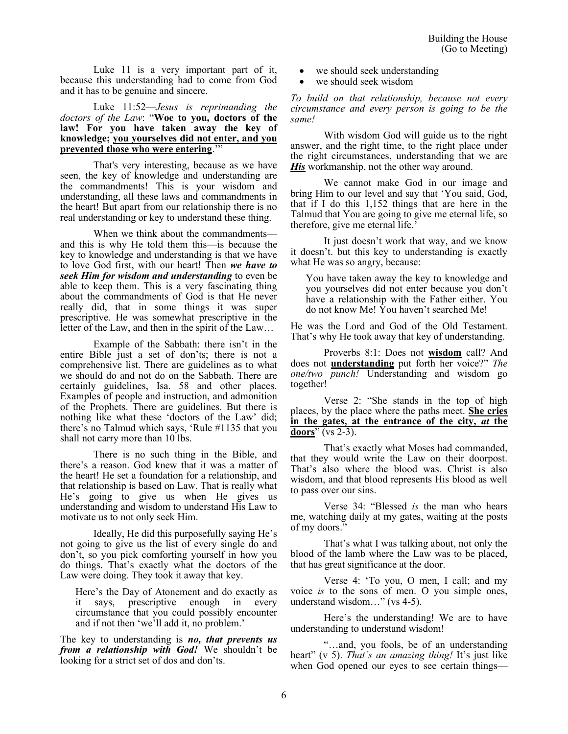Luke 11 is a very important part of it, because this understanding had to come from God and it has to be genuine and sincere.

## Luke 11:52—*Jesus is reprimanding the doctors of the Law*: "**Woe to you, doctors of the law! For you have taken away the key of knowledge; you yourselves did not enter, and you prevented those who were entering**.'"

That's very interesting, because as we have seen, the key of knowledge and understanding are the commandments! This is your wisdom and understanding, all these laws and commandments in the heart! But apart from our relationship there is no real understanding or key to understand these thing.

When we think about the commandments and this is why He told them this—is because the key to knowledge and understanding is that we have to love God first, with our heart! Then *we have to seek Him for wisdom and understanding* to even be able to keep them. This is a very fascinating thing about the commandments of God is that He never really did, that in some things it was super prescriptive. He was somewhat prescriptive in the letter of the Law, and then in the spirit of the Law…

Example of the Sabbath: there isn't in the entire Bible just a set of don'ts; there is not a comprehensive list. There are guidelines as to what we should do and not do on the Sabbath. There are certainly guidelines, Isa. 58 and other places. Examples of people and instruction, and admonition of the Prophets. There are guidelines. But there is nothing like what these 'doctors of the Law' did; there's no Talmud which says, 'Rule #1135 that you shall not carry more than 10 lbs.

There is no such thing in the Bible, and there's a reason. God knew that it was a matter of the heart! He set a foundation for a relationship, and that relationship is based on Law. That is really what He's going to give us when He gives us understanding and wisdom to understand His Law to motivate us to not only seek Him.

Ideally, He did this purposefully saying He's not going to give us the list of every single do and don't, so you pick comforting yourself in how you do things. That's exactly what the doctors of the Law were doing. They took it away that key.

Here's the Day of Atonement and do exactly as it says, prescriptive enough in every circumstance that you could possibly encounter and if not then 'we'll add it, no problem.'

The key to understanding is *no, that prevents us from a relationship with God!* We shouldn't be looking for a strict set of dos and don'ts.

- we should seek understanding
- we should seek wisdom

*To build on that relationship, because not every circumstance and every person is going to be the same!*

With wisdom God will guide us to the right answer, and the right time, to the right place under the right circumstances, understanding that we are *His* workmanship, not the other way around.

We cannot make God in our image and bring Him to our level and say that 'You said, God, that if I do this 1,152 things that are here in the Talmud that You are going to give me eternal life, so therefore, give me eternal life.'

It just doesn't work that way, and we know it doesn't. but this key to understanding is exactly what He was so angry, because:

You have taken away the key to knowledge and you yourselves did not enter because you don't have a relationship with the Father either. You do not know Me! You haven't searched Me!

He was the Lord and God of the Old Testament. That's why He took away that key of understanding.

Proverbs 8:1: Does not **wisdom** call? And does not **understanding** put forth her voice?" *The one/two punch!* Understanding and wisdom go together!

Verse 2: "She stands in the top of high places, by the place where the paths meet. **She cries in the gates, at the entrance of the city,** *at* **the doors**" (vs 2-3).

That's exactly what Moses had commanded, that they would write the Law on their doorpost. That's also where the blood was. Christ is also wisdom, and that blood represents His blood as well to pass over our sins.

Verse 34: "Blessed *is* the man who hears me, watching daily at my gates, waiting at the posts of my doors."

That's what I was talking about, not only the blood of the lamb where the Law was to be placed, that has great significance at the door.

Verse 4: 'To you, O men, I call; and my voice *is* to the sons of men. O you simple ones, understand wisdom…" (vs 4-5).

Here's the understanding! We are to have understanding to understand wisdom!

"…and, you fools, be of an understanding heart" (v 5). *That's an amazing thing!* It's just like when God opened our eyes to see certain things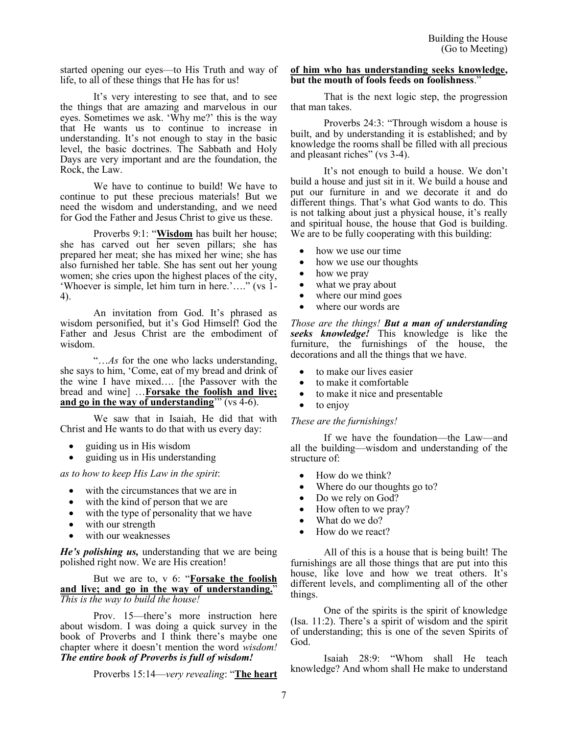started opening our eyes—to His Truth and way of life, to all of these things that He has for us!

It's very interesting to see that, and to see the things that are amazing and marvelous in our eyes. Sometimes we ask. 'Why me?' this is the way that He wants us to continue to increase in understanding. It's not enough to stay in the basic level, the basic doctrines. The Sabbath and Holy Days are very important and are the foundation, the Rock, the Law.

We have to continue to build! We have to continue to put these precious materials! But we need the wisdom and understanding, and we need for God the Father and Jesus Christ to give us these.

Proverbs 9:1: "**Wisdom** has built her house; she has carved out her seven pillars; she has prepared her meat; she has mixed her wine; she has also furnished her table. She has sent out her young women; she cries upon the highest places of the city, 'Whoever is simple, let him turn in here.'…." (vs 1- 4).

An invitation from God. It's phrased as wisdom personified, but it's God Himself! God the Father and Jesus Christ are the embodiment of wisdom.

"…*As* for the one who lacks understanding, she says to him, 'Come, eat of my bread and drink of the wine I have mixed…. [the Passover with the bread and wine] …**Forsake the foolish and live; and go in the way of understanding**'" (vs 4-6).

We saw that in Isaiah, He did that with Christ and He wants to do that with us every day:

- guiding us in His wisdom
- guiding us in His understanding

*as to how to keep His Law in the spirit*:

- with the circumstances that we are in
- with the kind of person that we are
- with the type of personality that we have
- with our strength
- with our weaknesses

*He's polishing us,* understanding that we are being polished right now. We are His creation!

But we are to, v 6: "**Forsake the foolish and live; and go in the way of understanding.**" *This is the way to build the house!*

Prov. 15—there's more instruction here about wisdom. I was doing a quick survey in the book of Proverbs and I think there's maybe one chapter where it doesn't mention the word *wisdom! The entire book of Proverbs is full of wisdom!*

Proverbs 15:14—*very revealing*: "**The heart** 

#### **of him who has understanding seeks knowledge, but the mouth of fools feeds on foolishness**."

That is the next logic step, the progression that man takes.

Proverbs 24:3: "Through wisdom a house is built, and by understanding it is established; and by knowledge the rooms shall be filled with all precious and pleasant riches" (vs 3-4).

It's not enough to build a house. We don't build a house and just sit in it. We build a house and put our furniture in and we decorate it and do different things. That's what God wants to do. This is not talking about just a physical house, it's really and spiritual house, the house that God is building. We are to be fully cooperating with this building:

- how we use our time
- how we use our thoughts
- how we pray
- what we pray about
- where our mind goes
- where our words are

*Those are the things! But a man of understanding seeks knowledge!* This knowledge is like the furniture, the furnishings of the house, the decorations and all the things that we have.

- to make our lives easier
- to make it comfortable
- to make it nice and presentable
- to enjoy

## *These are the furnishings!*

If we have the foundation—the Law—and all the building—wisdom and understanding of the structure of:

- How do we think?
- Where do our thoughts go to?
- Do we rely on God?
- How often to we pray?
- What do we do?
- How do we react?

All of this is a house that is being built! The furnishings are all those things that are put into this house, like love and how we treat others. It's different levels, and complimenting all of the other things.

One of the spirits is the spirit of knowledge (Isa. 11:2). There's a spirit of wisdom and the spirit of understanding; this is one of the seven Spirits of God.

Isaiah 28:9: "Whom shall He teach knowledge? And whom shall He make to understand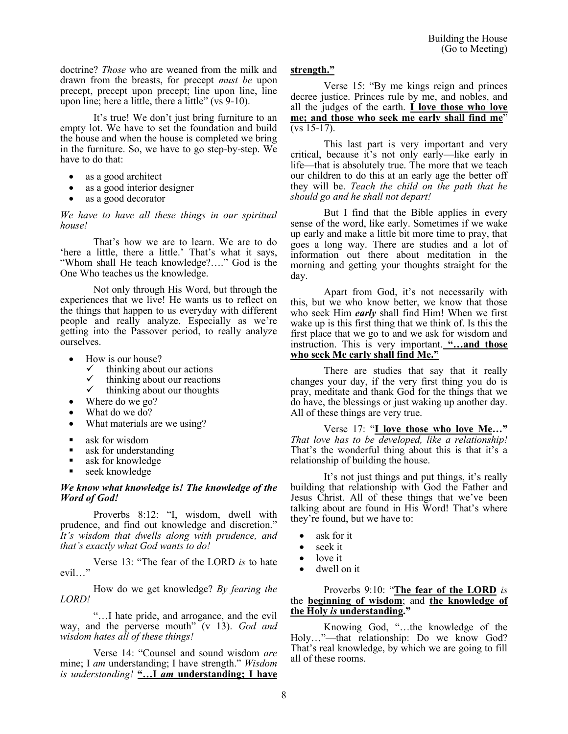doctrine? *Those* who are weaned from the milk and drawn from the breasts, for precept *must be* upon precept, precept upon precept; line upon line, line upon line; here a little, there a little" ( $\overline{vs}$  9-10).

It's true! We don't just bring furniture to an empty lot. We have to set the foundation and build the house and when the house is completed we bring in the furniture. So, we have to go step-by-step. We have to do that:

- as a good architect
- as a good interior designer
- as a good decorator

## *We have to have all these things in our spiritual house!*

That's how we are to learn. We are to do 'here a little, there a little.' That's what it says, "Whom shall He teach knowledge?…." God is the One Who teaches us the knowledge.

Not only through His Word, but through the experiences that we live! He wants us to reflect on the things that happen to us everyday with different people and really analyze. Especially as we're getting into the Passover period, to really analyze ourselves.

- How is our house?
	- $\checkmark$  thinking about our actions
	- $\checkmark$  thinking about our reactions<br> $\checkmark$  thinking about our thoughts
	- thinking about our thoughts
	- Where do we go?
- What do we do?
- What materials are we using?
- ask for wisdom
- ask for understanding
- ask for knowledge
- $\bullet$  seek knowledge

## *We know what knowledge is! The knowledge of the Word of God!*

Proverbs 8:12: "I, wisdom, dwell with prudence, and find out knowledge and discretion." *It's wisdom that dwells along with prudence, and that's exactly what God wants to do!*

Verse 13: "The fear of the LORD *is* to hate evil…"

How do we get knowledge? *By fearing the LORD!*

"…I hate pride, and arrogance, and the evil way, and the perverse mouth" (v 13). *God and wisdom hates all of these things!*

Verse 14: "Counsel and sound wisdom *are* mine; I *am* understanding; I have strength." *Wisdom is understanding!* **"…I** *am* **understanding; I have** 

## **strength."**

Verse 15: "By me kings reign and princes decree justice. Princes rule by me, and nobles, and all the judges of the earth. **I love those who love me; and those who seek me early shall find me**" (vs 15-17).

This last part is very important and very critical, because it's not only early—like early in life—that is absolutely true. The more that we teach our children to do this at an early age the better off they will be. *Teach the child on the path that he should go and he shall not depart!*

But I find that the Bible applies in every sense of the word, like early. Sometimes if we wake up early and make a little bit more time to pray, that goes a long way. There are studies and a lot of information out there about meditation in the morning and getting your thoughts straight for the day.

Apart from God, it's not necessarily with this, but we who know better, we know that those who seek Him *early* shall find Him! When we first wake up is this first thing that we think of. Is this the first place that we go to and we ask for wisdom and instruction. This is very important. **"…and those who seek Me early shall find Me."**

There are studies that say that it really changes your day, if the very first thing you do is pray, meditate and thank God for the things that we do have, the blessings or just waking up another day. All of these things are very true.

Verse 17: "**I love those who love Me…"**  *That love has to be developed, like a relationship!* That's the wonderful thing about this is that it's a relationship of building the house.

It's not just things and put things, it's really building that relationship with God the Father and Jesus Christ. All of these things that we've been talking about are found in His Word! That's where they're found, but we have to:

- ask for it
- seek it
- love it
- dwell on it

Proverbs 9:10: "**The fear of the LORD** *is* the **beginning of wisdom**; and **the knowledge of the Holy** *is* **understanding."**

Knowing God, "…the knowledge of the Holy…"—that relationship: Do we know God? That's real knowledge, by which we are going to fill all of these rooms.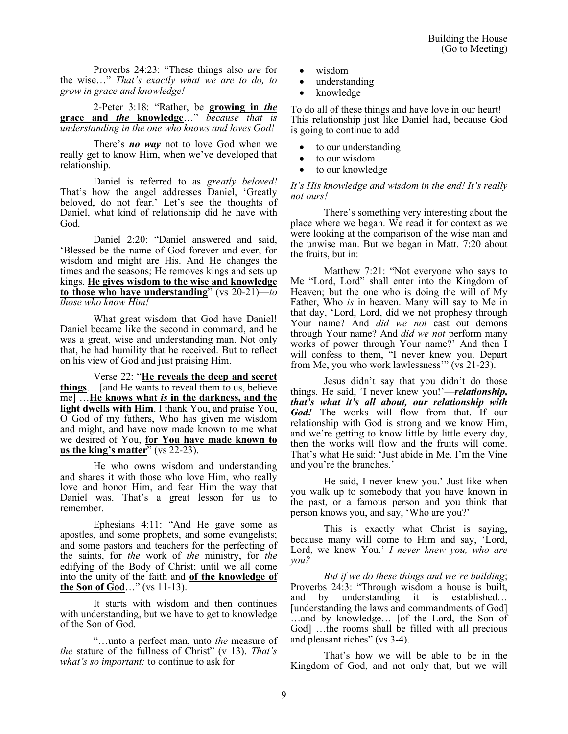Proverbs 24:23: "These things also *are* for the wise…" *That's exactly what we are to do, to grow in grace and knowledge!*

2-Peter 3:18: "Rather, be **growing in** *the* **grace and** *the* **knowledge**…" *because that is understanding in the one who knows and loves God!*

There's *no way* not to love God when we really get to know Him, when we've developed that relationship.

Daniel is referred to as *greatly beloved!*  That's how the angel addresses Daniel, 'Greatly beloved, do not fear.' Let's see the thoughts of Daniel, what kind of relationship did he have with God.

Daniel 2:20: "Daniel answered and said, 'Blessed be the name of God forever and ever, for wisdom and might are His. And He changes the times and the seasons; He removes kings and sets up kings. **He gives wisdom to the wise and knowledge to those who have understanding**" (vs 20-21)—*to those who know Him!*

What great wisdom that God have Daniel! Daniel became like the second in command, and he was a great, wise and understanding man. Not only that, he had humility that he received. But to reflect on his view of God and just praising Him.

Verse 22: "**He reveals the deep and secret things**… [and He wants to reveal them to us, believe me] …**He knows what** *is* **in the darkness, and the light dwells with Him**. I thank You, and praise You, O God of my fathers, Who has given me wisdom and might, and have now made known to me what we desired of You, **for You have made known to**  us the king's matter<sup>"</sup> (vs 22-23).

He who owns wisdom and understanding and shares it with those who love Him, who really love and honor Him, and fear Him the way that Daniel was. That's a great lesson for us to remember.

Ephesians 4:11: "And He gave some as apostles, and some prophets, and some evangelists; and some pastors and teachers for the perfecting of the saints, for *the* work of *the* ministry, for *the* edifying of the Body of Christ; until we all come into the unity of the faith and **of the knowledge of the Son of God**…" (vs 11-13).

It starts with wisdom and then continues with understanding, but we have to get to knowledge of the Son of God.

"…unto a perfect man, unto *the* measure of *the* stature of the fullness of Christ" (v 13). *That's what's so important;* to continue to ask for

- wisdom
- understanding
- knowledge

To do all of these things and have love in our heart! This relationship just like Daniel had, because God is going to continue to add

- to our understanding
- to our wisdom
- to our knowledge

*It's His knowledge and wisdom in the end! It's really not ours!* 

There's something very interesting about the place where we began. We read it for context as we were looking at the comparison of the wise man and the unwise man. But we began in Matt. 7:20 about the fruits, but in:

Matthew 7:21: "Not everyone who says to Me "Lord, Lord" shall enter into the Kingdom of Heaven; but the one who is doing the will of My Father, Who *is* in heaven. Many will say to Me in that day, 'Lord, Lord, did we not prophesy through Your name? And *did we not* cast out demons through Your name? And *did we not* perform many works of power through Your name?' And then I will confess to them, "I never knew you. Depart from Me, you who work lawlessness'" (vs 21-23).

Jesus didn't say that you didn't do those things. He said, 'I never knew you!'—*relationship, that's what it's all about, our relationship with God!* The works will flow from that. If our relationship with God is strong and we know Him, and we're getting to know little by little every day, then the works will flow and the fruits will come. That's what He said: 'Just abide in Me. I'm the Vine and you're the branches.'

He said, I never knew you.' Just like when you walk up to somebody that you have known in the past, or a famous person and you think that person knows you, and say, 'Who are you?'

This is exactly what Christ is saying, because many will come to Him and say, 'Lord, Lord, we knew You.' *I never knew you, who are you?* 

*But if we do these things and we're building*; Proverbs 24:3: "Through wisdom a house is built, and by understanding it is established… [understanding the laws and commandments of God] …and by knowledge… [of the Lord, the Son of God] …the rooms shall be filled with all precious and pleasant riches" (vs 3-4).

That's how we will be able to be in the Kingdom of God, and not only that, but we will